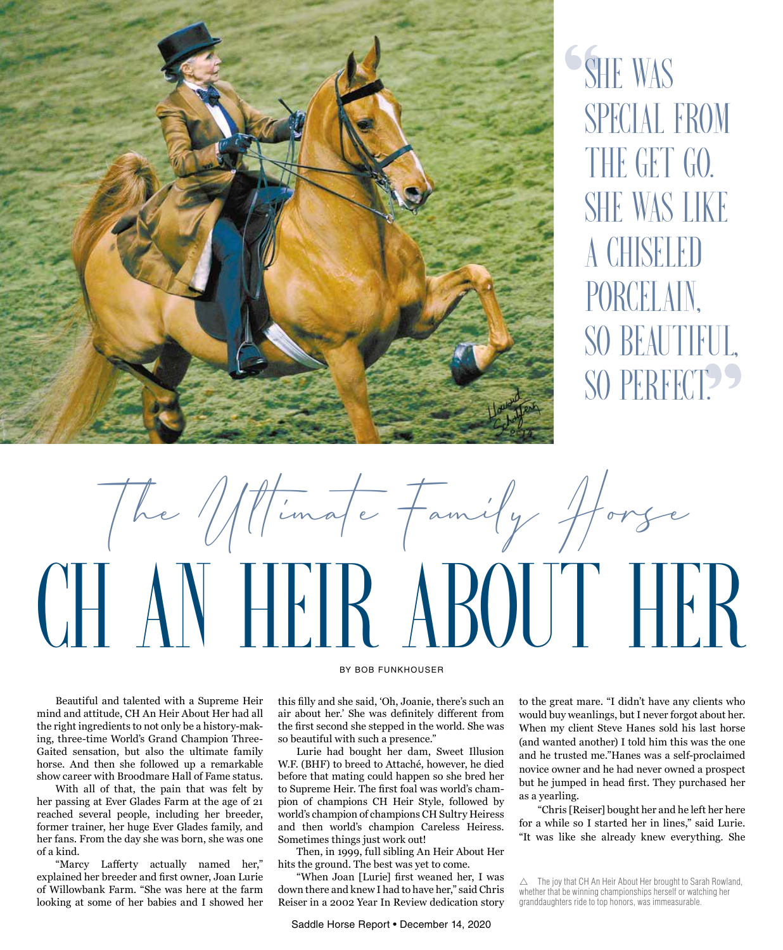

" **SHE WAS** special from THE GET GO. She was like a chiseled porcelain, so beautiful, SO PERFECT? "<br>"<br>"



Beautiful and talented with a Supreme Heir mind and attitude, CH An Heir About Her had all the right ingredients to not only be a history-making, three-time World's Grand Champion Three-Gaited sensation, but also the ultimate family horse. And then she followed up a remarkable show career with Broodmare Hall of Fame status.

With all of that, the pain that was felt by her passing at Ever Glades Farm at the age of 21 reached several people, including her breeder, former trainer, her huge Ever Glades family, and her fans. From the day she was born, she was one of a kind.

"Marcy Lafferty actually named her," explained her breeder and first owner, Joan Lurie of Willowbank Farm. "She was here at the farm looking at some of her babies and I showed her

## BY BOB FUNKHOUSER

this filly and she said, 'Oh, Joanie, there's such an air about her.' She was definitely different from the first second she stepped in the world. She was so beautiful with such a presence."

Lurie had bought her dam, Sweet Illusion W.F. (BHF) to breed to Attaché, however, he died before that mating could happen so she bred her to Supreme Heir. The first foal was world's champion of champions CH Heir Style, followed by world's champion of champions CH Sultry Heiress and then world's champion Careless Heiress. Sometimes things just work out!

Then, in 1999, full sibling An Heir About Her hits the ground. The best was yet to come.

"When Joan [Lurie] first weaned her, I was down there and knew I had to have her," said Chris Reiser in a 2002 Year In Review dedication story

Saddle Horse Report • December 14, 2020

to the great mare. "I didn't have any clients who would buy weanlings, but I never forgot about her. When my client Steve Hanes sold his last horse (and wanted another) I told him this was the one and he trusted me."Hanes was a self-proclaimed novice owner and he had never owned a prospect but he jumped in head first. They purchased her as a yearling.

"Chris [Reiser] bought her and he left her here for a while so I started her in lines," said Lurie. "It was like she already knew everything. She

 $\triangle$  The joy that CH An Heir About Her brought to Sarah Rowland, whether that be winning championships herself or watching her granddaughters ride to top honors, was immeasurable.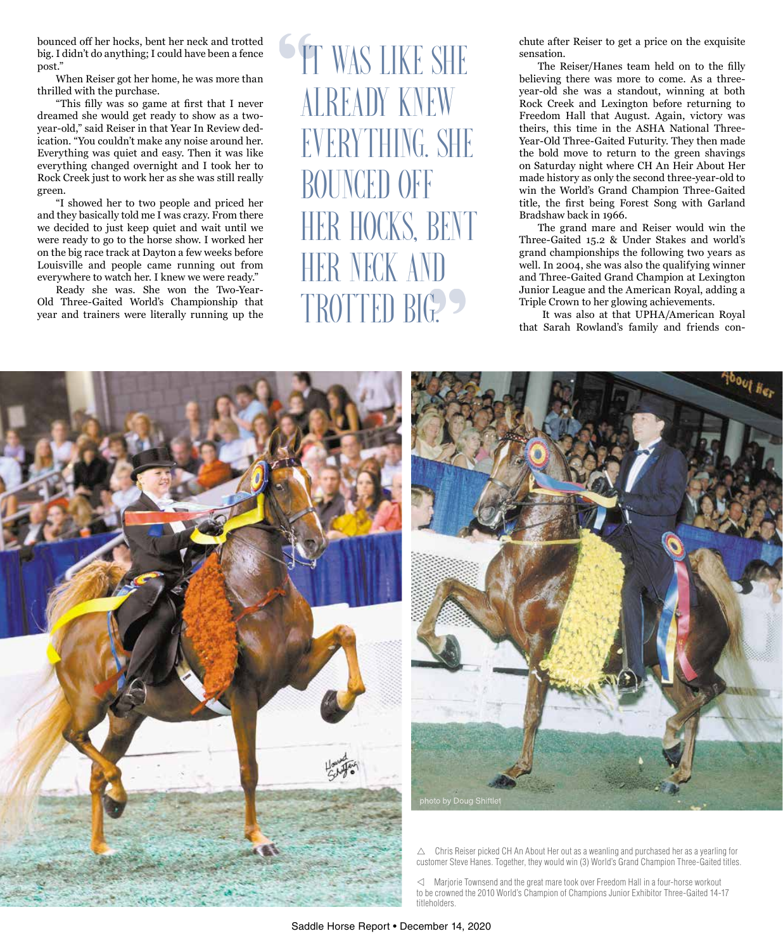bounced off her hocks, bent her neck and trotted big. I didn't do anything; I could have been a fence post."

When Reiser got her home, he was more than thrilled with the purchase.

"This filly was so game at first that I never dreamed she would get ready to show as a twoyear-old," said Reiser in that Year In Review dedication. "You couldn't make any noise around her. Everything was quiet and easy. Then it was like everything changed overnight and I took her to Rock Creek just to work her as she was still really green.

"I showed her to two people and priced her and they basically told me I was crazy. From there we decided to just keep quiet and wait until we were ready to go to the horse show. I worked her on the big race track at Dayton a few weeks before Louisville and people came running out from everywhere to watch her. I knew we were ready."

Ready she was. She won the Two-Year-Old Three-Gaited World's Championship that year and trainers were literally running up the

**IT WAS LIKE SHE** already knew everything. She **BOUNCED OFF** her hocks, bent her neck and TROTTED BIG. SE AIR ENT

chute after Reiser to get a price on the exquisite sensation.

The Reiser/Hanes team held on to the filly believing there was more to come. As a threeyear-old she was a standout, winning at both Rock Creek and Lexington before returning to Freedom Hall that August. Again, victory was theirs, this time in the ASHA National Three-Year-Old Three-Gaited Futurity. They then made the bold move to return to the green shavings on Saturday night where CH An Heir About Her made history as only the second three-year-old to win the World's Grand Champion Three-Gaited title, the first being Forest Song with Garland Bradshaw back in 1966.

The grand mare and Reiser would win the Three-Gaited 15.2 & Under Stakes and world's grand championships the following two years as well. In 2004, she was also the qualifying winner and Three-Gaited Grand Champion at Lexington Junior League and the American Royal, adding a Triple Crown to her glowing achievements.

 It was also at that UPHA/American Royal that Sarah Rowland's family and friends con-